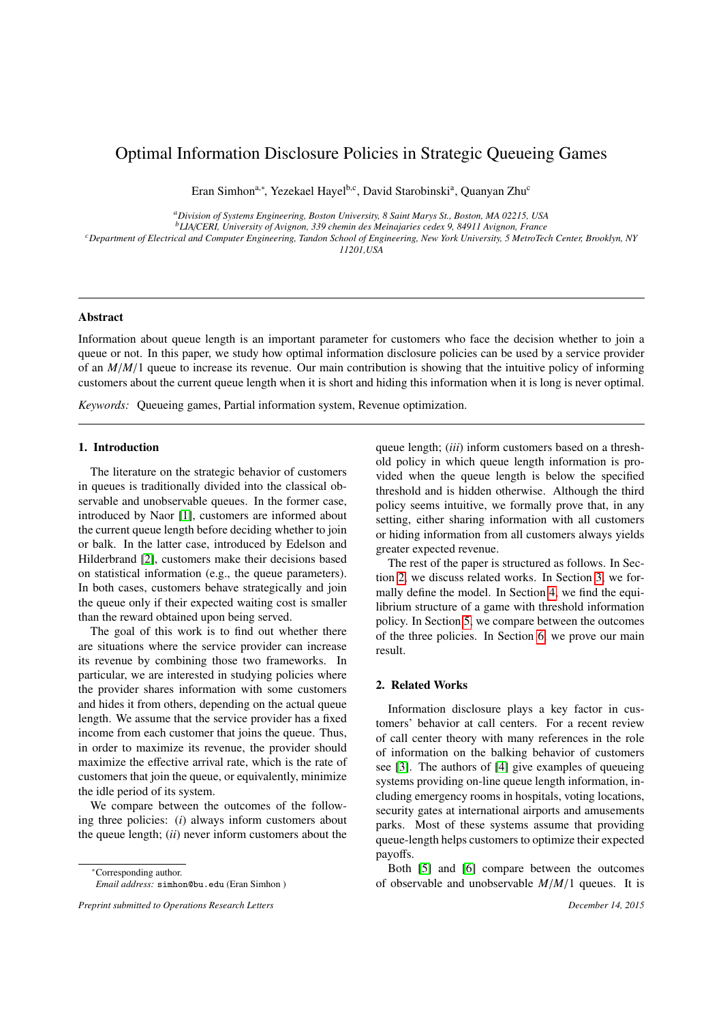# Optimal Information Disclosure Policies in Strategic Queueing Games

Eran Simhon<sup>a,∗</sup>, Yezekael Hayel<sup>b,c</sup>, David Starobinski<sup>a</sup>, Quanyan Zhu<sup>c</sup>

*<sup>a</sup>Division of Systems Engineering, Boston University, 8 Saint Marys St., Boston, MA 02215, USA*

*<sup>b</sup>LIA*/*CERI, University of Avignon, 339 chemin des Meinajaries cedex 9, 84911 Avignon, France*

*<sup>c</sup>Department of Electrical and Computer Engineering, Tandon School of Engineering, New York University, 5 MetroTech Center, Brooklyn, NY 11201,USA*

## Abstract

Information about queue length is an important parameter for customers who face the decision whether to join a queue or not. In this paper, we study how optimal information disclosure policies can be used by a service provider of an *<sup>M</sup>*/*M*/1 queue to increase its revenue. Our main contribution is showing that the intuitive policy of informing customers about the current queue length when it is short and hiding this information when it is long is never optimal.

*Keywords:* Queueing games, Partial information system, Revenue optimization.

# 1. Introduction

The literature on the strategic behavior of customers in queues is traditionally divided into the classical observable and unobservable queues. In the former case, introduced by Naor [\[1\]](#page-5-0), customers are informed about the current queue length before deciding whether to join or balk. In the latter case, introduced by Edelson and Hilderbrand [\[2\]](#page-5-1), customers make their decisions based on statistical information (e.g., the queue parameters). In both cases, customers behave strategically and join the queue only if their expected waiting cost is smaller than the reward obtained upon being served.

The goal of this work is to find out whether there are situations where the service provider can increase its revenue by combining those two frameworks. In particular, we are interested in studying policies where the provider shares information with some customers and hides it from others, depending on the actual queue length. We assume that the service provider has a fixed income from each customer that joins the queue. Thus, in order to maximize its revenue, the provider should maximize the effective arrival rate, which is the rate of customers that join the queue, or equivalently, minimize the idle period of its system.

We compare between the outcomes of the following three policies: (*i*) always inform customers about the queue length; (*ii*) never inform customers about the

<sup>∗</sup>Corresponding author.

queue length; (*iii*) inform customers based on a threshold policy in which queue length information is provided when the queue length is below the specified threshold and is hidden otherwise. Although the third policy seems intuitive, we formally prove that, in any setting, either sharing information with all customers or hiding information from all customers always yields greater expected revenue.

The rest of the paper is structured as follows. In Section [2,](#page-0-0) we discuss related works. In Section [3,](#page-1-0) we formally define the model. In Section [4,](#page-2-0) we find the equilibrium structure of a game with threshold information policy. In Section [5,](#page-3-0) we compare between the outcomes of the three policies. In Section [6,](#page-4-0) we prove our main result.

# <span id="page-0-0"></span>2. Related Works

Information disclosure plays a key factor in customers' behavior at call centers. For a recent review of call center theory with many references in the role of information on the balking behavior of customers see [\[3\]](#page-5-2). The authors of [\[4\]](#page-5-3) give examples of queueing systems providing on-line queue length information, including emergency rooms in hospitals, voting locations, security gates at international airports and amusements parks. Most of these systems assume that providing queue-length helps customers to optimize their expected payoffs.

Both [\[5\]](#page-5-4) and [\[6\]](#page-5-5) compare between the outcomes of observable and unobservable *<sup>M</sup>*/*M*/1 queues. It is

*Email address:* simhon@bu.edu (Eran Simhon )

*Preprint submitted to Operations Research Letters December 14, 2015*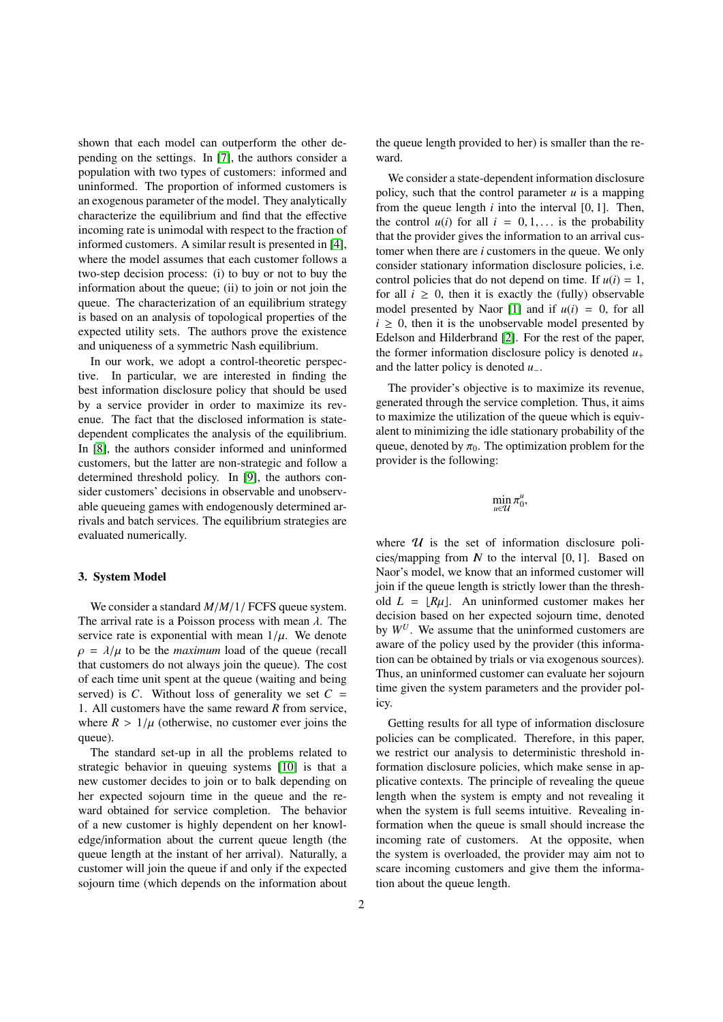shown that each model can outperform the other depending on the settings. In [\[7\]](#page-5-6), the authors consider a population with two types of customers: informed and uninformed. The proportion of informed customers is an exogenous parameter of the model. They analytically characterize the equilibrium and find that the effective incoming rate is unimodal with respect to the fraction of informed customers. A similar result is presented in [\[4\]](#page-5-3), where the model assumes that each customer follows a two-step decision process: (i) to buy or not to buy the information about the queue; (ii) to join or not join the queue. The characterization of an equilibrium strategy is based on an analysis of topological properties of the expected utility sets. The authors prove the existence and uniqueness of a symmetric Nash equilibrium.

In our work, we adopt a control-theoretic perspective. In particular, we are interested in finding the best information disclosure policy that should be used by a service provider in order to maximize its revenue. The fact that the disclosed information is statedependent complicates the analysis of the equilibrium. In [\[8\]](#page-5-7), the authors consider informed and uninformed customers, but the latter are non-strategic and follow a determined threshold policy. In [\[9\]](#page-5-8), the authors consider customers' decisions in observable and unobservable queueing games with endogenously determined arrivals and batch services. The equilibrium strategies are evaluated numerically.

#### <span id="page-1-0"></span>3. System Model

We consider a standard *<sup>M</sup>*/*M*/1/ FCFS queue system. The arrival rate is a Poisson process with mean  $\lambda$ . The service rate is exponential with mean  $1/\mu$ . We denote  $\rho = \lambda/\mu$  to be the *maximum* load of the queue (recall that customers do not always join the queue). The cost of each time unit spent at the queue (waiting and being served) is *C*. Without loss of generality we set  $C =$ 1. All customers have the same reward *R* from service, where  $R > 1/\mu$  (otherwise, no customer ever joins the queue).

The standard set-up in all the problems related to strategic behavior in queuing systems [\[10\]](#page-5-9) is that a new customer decides to join or to balk depending on her expected sojourn time in the queue and the reward obtained for service completion. The behavior of a new customer is highly dependent on her knowledge/information about the current queue length (the queue length at the instant of her arrival). Naturally, a customer will join the queue if and only if the expected sojourn time (which depends on the information about the queue length provided to her) is smaller than the reward.

We consider a state-dependent information disclosure policy, such that the control parameter  $u$  is a mapping from the queue length  $i$  into the interval  $[0, 1]$ . Then, the control  $u(i)$  for all  $i = 0, 1, \ldots$  is the probability that the provider gives the information to an arrival customer when there are *i* customers in the queue. We only consider stationary information disclosure policies, i.e. control policies that do not depend on time. If  $u(i) = 1$ , for all  $i \geq 0$ , then it is exactly the (fully) observable model presented by Naor [\[1\]](#page-5-0) and if  $u(i) = 0$ , for all  $i \geq 0$ , then it is the unobservable model presented by Edelson and Hilderbrand [\[2\]](#page-5-1). For the rest of the paper, the former information disclosure policy is denoted  $u_+$ and the latter policy is denoted *u*−.

The provider's objective is to maximize its revenue, generated through the service completion. Thus, it aims to maximize the utilization of the queue which is equivalent to minimizing the idle stationary probability of the queue, denoted by  $\pi_0$ . The optimization problem for the provider is the following:

$$
\min_{u\in\mathcal{U}}\pi_0^u,
$$

where  $U$  is the set of information disclosure policies/mapping from  $N$  to the interval  $[0, 1]$ . Based on Naor's model, we know that an informed customer will join if the queue length is strictly lower than the threshold  $L = |R\mu|$ . An uninformed customer makes her decision based on her expected sojourn time, denoted by  $W^U$ . We assume that the uninformed customers are aware of the policy used by the provider (this information can be obtained by trials or via exogenous sources). Thus, an uninformed customer can evaluate her sojourn time given the system parameters and the provider policy.

Getting results for all type of information disclosure policies can be complicated. Therefore, in this paper, we restrict our analysis to deterministic threshold information disclosure policies, which make sense in applicative contexts. The principle of revealing the queue length when the system is empty and not revealing it when the system is full seems intuitive. Revealing information when the queue is small should increase the incoming rate of customers. At the opposite, when the system is overloaded, the provider may aim not to scare incoming customers and give them the information about the queue length.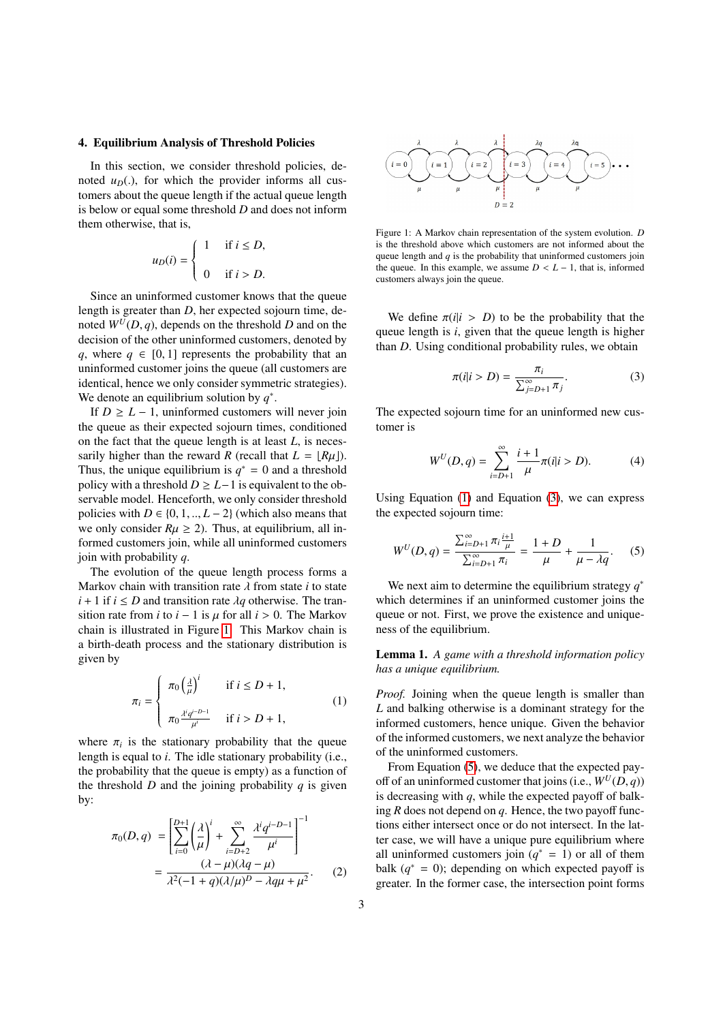#### <span id="page-2-0"></span>4. Equilibrium Analysis of Threshold Policies

In this section, we consider threshold policies, denoted  $u_D(.)$ , for which the provider informs all customers about the queue length if the actual queue length is below or equal some threshold *D* and does not inform them otherwise, that is,

<span id="page-2-2"></span>
$$
u_D(i) = \begin{cases} 1 & \text{if } i \leq D, \\ 0 & \text{if } i > D. \end{cases}
$$

Since an uninformed customer knows that the queue length is greater than *D*, her expected sojourn time, denoted  $W^U(D, q)$ , depends on the threshold *D* and on the decision of the other uninformed customers, denoted by *q*, where  $q \in [0, 1]$  represents the probability that an uninformed customer joins the queue (all customers are identical, hence we only consider symmetric strategies). We denote an equilibrium solution by  $q^*$ .

If  $D \geq L - 1$ , uninformed customers will never join the queue as their expected sojourn times, conditioned on the fact that the queue length is at least *L*, is necessarily higher than the reward *R* (recall that  $L = [R\mu]$ ). Thus, the unique equilibrium is  $q^* = 0$  and a threshold policy with a threshold  $D \geq L-1$  is equivalent to the observable model. Henceforth, we only consider threshold policies with  $D \in \{0, 1, \ldots, L-2\}$  (which also means that we only consider  $R\mu \ge 2$ ). Thus, at equilibrium, all informed customers join, while all uninformed customers join with probability *q*.

The evolution of the queue length process forms a Markov chain with transition rate  $\lambda$  from state *i* to state  $i + 1$  if  $i \le D$  and transition rate  $\lambda q$  otherwise. The transition rate from *i* to  $i - 1$  is  $\mu$  for all  $i > 0$ . The Markov chain is illustrated in Figure [1.](#page-2-1) This Markov chain is a birth-death process and the stationary distribution is given by

$$
\pi_{i} = \begin{cases}\n\pi_{0} \left(\frac{\lambda}{\mu}\right)^{i} & \text{if } i \leq D + 1, \\
\pi_{0} \frac{\lambda^{i} q^{i - D - 1}}{\mu^{i}} & \text{if } i > D + 1,\n\end{cases}
$$
\n(1)

where  $\pi_i$  is the stationary probability that the queue<br>length is equal to *i*. The idle stationary probability (i.e. length is equal to *i*. The idle stationary probability (i.e., the probability that the queue is empty) as a function of the threshold *D* and the joining probability  $q$  is given by:

$$
\pi_0(D, q) = \left[ \sum_{i=0}^{D+1} \left( \frac{\lambda}{\mu} \right)^i + \sum_{i=D+2}^{\infty} \frac{\lambda^i q^{i-D-1}}{\mu^i} \right]^{-1}
$$

$$
= \frac{(\lambda - \mu)(\lambda q - \mu)}{\lambda^2 (-1 + q)(\lambda/\mu)^D - \lambda q \mu + \mu^2}.
$$
 (2)



<span id="page-2-1"></span>Figure 1: A Markov chain representation of the system evolution. *D* is the threshold above which customers are not informed about the queue length and *q* is the probability that uninformed customers join the queue. In this example, we assume  $D < L - 1$ , that is, informed customers always join the queue.

We define  $\pi(i|i > D)$  to be the probability that the queue length is *i*, given that the queue length is higher than *D*. Using conditional probability rules, we obtain

<span id="page-2-3"></span>
$$
\pi(i|i > D) = \frac{\pi_i}{\sum_{j=D+1}^{\infty} \pi_j}.
$$
\n(3)

The expected sojourn time for an uninformed new customer is

<span id="page-2-4"></span>
$$
W^{U}(D,q) = \sum_{i=D+1}^{\infty} \frac{i+1}{\mu} \pi(i|i > D). \tag{4}
$$

Using Equation [\(1\)](#page-2-2) and Equation [\(3\)](#page-2-3), we can express the expected sojourn time:

$$
W^{U}(D,q) = \frac{\sum_{i=D+1}^{\infty} \pi_i \frac{i+1}{\mu}}{\sum_{i=D+1}^{\infty} \pi_i} = \frac{1+D}{\mu} + \frac{1}{\mu - \lambda q}.
$$
 (5)

We next aim to determine the equilibrium strategy *q* ∗ which determines if an uninformed customer joins the queue or not. First, we prove the existence and uniqueness of the equilibrium.

Lemma 1. *A game with a threshold information policy has a unique equilibrium.*

*Proof.* Joining when the queue length is smaller than *L* and balking otherwise is a dominant strategy for the informed customers, hence unique. Given the behavior of the informed customers, we next analyze the behavior of the uninformed customers.

<span id="page-2-5"></span>From Equation [\(5\)](#page-2-4), we deduce that the expected payoff of an uninformed customer that joins (i.e.,  $W^U(D, q)$ ) is decreasing with *q*, while the expected payoff of balking *R* does not depend on *q*. Hence, the two payoff functions either intersect once or do not intersect. In the latter case, we will have a unique pure equilibrium where all uninformed customers join  $(q^* = 1)$  or all of them balk  $(q^* = 0)$ ; depending on which expected payoff is greater. In the former case, the intersection point forms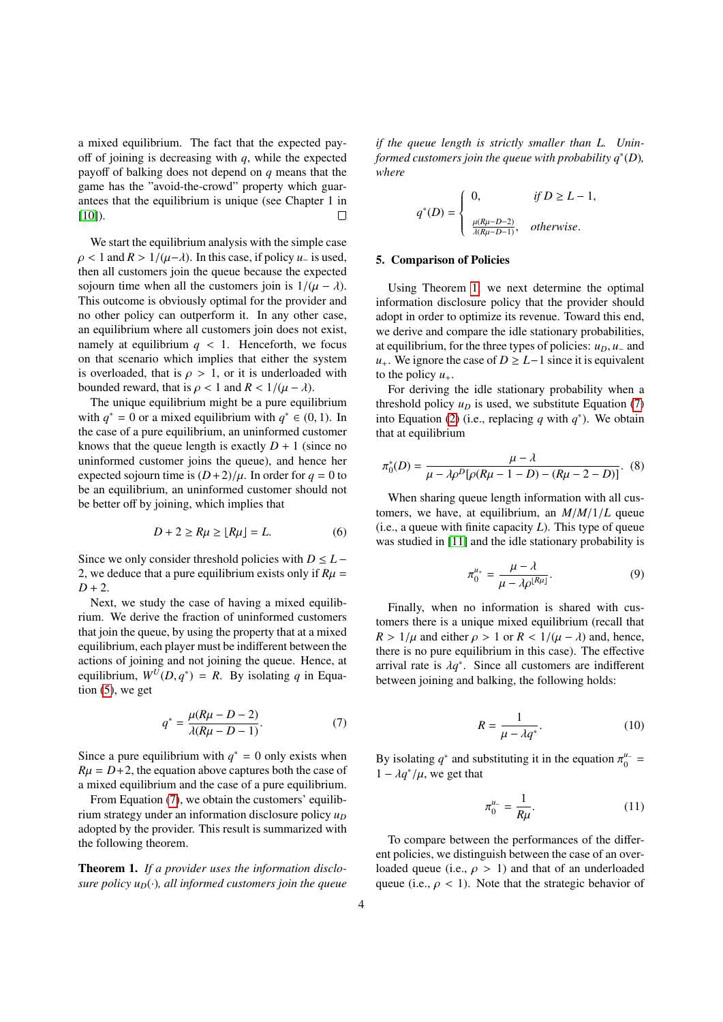a mixed equilibrium. The fact that the expected payoff of joining is decreasing with *q*, while the expected payoff of balking does not depend on *q* means that the game has the "avoid-the-crowd" property which guarantees that the equilibrium is unique (see Chapter 1 in [\[10\]](#page-5-9)).  $\Box$ 

We start the equilibrium analysis with the simple case  $\rho$  < 1 and  $R > 1/(\mu - \lambda)$ . In this case, if policy  $\mu_{-}$  is used, then all customers join the queue because the expected sojourn time when all the customers join is  $1/(\mu - \lambda)$ . This outcome is obviously optimal for the provider and no other policy can outperform it. In any other case, an equilibrium where all customers join does not exist, namely at equilibrium  $q \lt 1$ . Henceforth, we focus on that scenario which implies that either the system is overloaded, that is  $\rho > 1$ , or it is underloaded with bounded reward, that is  $\rho < 1$  and  $R < 1/(\mu - \lambda)$ .

The unique equilibrium might be a pure equilibrium with  $q^* = 0$  or a mixed equilibrium with  $q^* \in (0, 1)$ . In the case of a pure equilibrium an uninformed customer the case of a pure equilibrium, an uninformed customer knows that the queue length is exactly  $D + 1$  (since no uninformed customer joins the queue), and hence her expected sojourn time is  $(D+2)/\mu$ . In order for  $q = 0$  to be an equilibrium, an uninformed customer should not be better off by joining, which implies that

$$
D + 2 \ge R\mu \ge \lfloor R\mu \rfloor = L. \tag{6}
$$

Since we only consider threshold policies with  $D \leq L -$ 2, we deduce that a pure equilibrium exists only if  $R\mu$  =  $D + 2$ .

Next, we study the case of having a mixed equilibrium. We derive the fraction of uninformed customers that join the queue, by using the property that at a mixed equilibrium, each player must be indifferent between the actions of joining and not joining the queue. Hence, at equilibrium,  $W^U(D, q^*) = R$ . By isolating *q* in Equation (5), we get tion  $(5)$ , we get

$$
q^* = \frac{\mu(R\mu - D - 2)}{\lambda(R\mu - D - 1)}.
$$
 (7)

Since a pure equilibrium with  $q^* = 0$  only exists when  $R\mu = D + 2$ , the equation above captures both the case of a mixed equilibrium and the case of a pure equilibrium.

From Equation [\(7\)](#page-3-1), we obtain the customers' equilibrium strategy under an information disclosure policy  $u_D$ adopted by the provider. This result is summarized with the following theorem.

<span id="page-3-2"></span>Theorem 1. *If a provider uses the information disclosure policy*  $u_D(\cdot)$ *, all informed customers join the queue* 

*if the queue length is strictly smaller than L. Uninformed customers join the queue with probability q*<sup>∗</sup> (*D*)*, where*

$$
q^*(D) = \begin{cases} 0, & \text{if } D \ge L - 1, \\ \frac{\mu(R\mu - D - 2)}{\lambda(R\mu - D - 1)}, & \text{otherwise.} \end{cases}
$$

#### <span id="page-3-0"></span>5. Comparison of Policies

Using Theorem [1,](#page-3-2) we next determine the optimal information disclosure policy that the provider should adopt in order to optimize its revenue. Toward this end, we derive and compare the idle stationary probabilities, at equilibrium, for the three types of policies:  $u_D$ ,  $u_-\$  and *u*<sub>+</sub>. We ignore the case of *D* ≥ *L*−1 since it is equivalent to the policy  $u_+$ .

For deriving the idle stationary probability when a threshold policy  $u_D$  is used, we substitute Equation [\(7\)](#page-3-1) into Equation [\(2\)](#page-2-5) (i.e., replacing  $q$  with  $q^*$ ). We obtain that at equilibrium

$$
\pi_0^*(D) = \frac{\mu - \lambda}{\mu - \lambda \rho^D [\rho (R\mu - 1 - D) - (R\mu - 2 - D)]}.
$$
 (8)

When sharing queue length information with all customers, we have, at equilibrium, an *<sup>M</sup>*/*M*/1/*<sup>L</sup>* queue (i.e., a queue with finite capacity *L*). This type of queue was studied in [\[11\]](#page-5-10) and the idle stationary probability is

<span id="page-3-4"></span><span id="page-3-3"></span>
$$
\pi_0^{u_+} = \frac{\mu - \lambda}{\mu - \lambda \rho^{\lfloor R \mu \rfloor}}.
$$
\n(9)

Finally, when no information is shared with customers there is a unique mixed equilibrium (recall that  $R > 1/\mu$  and either  $\rho > 1$  or  $R < 1/(\mu - \lambda)$  and, hence, there is no pure equilibrium in this case). The effective arrival rate is  $\lambda q^*$ . Since all customers are indifferent<br>between joining and balking, the following holds: between joining and balking, the following holds:

$$
R = \frac{1}{\mu - \lambda q^*}.\tag{10}
$$

<span id="page-3-1"></span>By isolating *q*<sup>\*</sup> and substituting it in the equation  $\pi_0^{\mu_-} = 1 - \frac{\lambda \sigma^*}{\mu}$  we get that  $1 - \lambda q^*/\mu$ , we get that

$$
\pi_0^{\mu_-} = \frac{1}{R\mu}.\tag{11}
$$

To compare between the performances of the different policies, we distinguish between the case of an overloaded queue (i.e.,  $\rho > 1$ ) and that of an underloaded queue (i.e.,  $\rho < 1$ ). Note that the strategic behavior of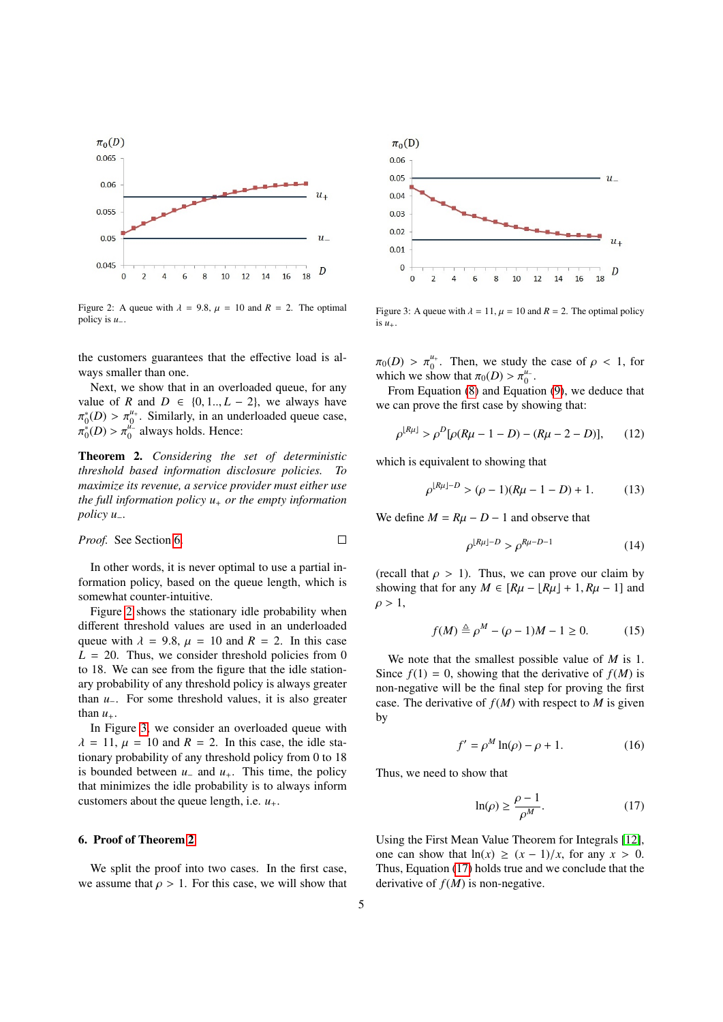

<span id="page-4-1"></span>Figure 2: A queue with  $\lambda = 9.8$ ,  $\mu = 10$  and  $R = 2$ . The optimal policy is *u*−.

the customers guarantees that the effective load is always smaller than one.

Next, we show that in an overloaded queue, for any value of *R* and  $D \in \{0, 1, \ldots, L - 2\}$ , we always have ..<br>π  $\psi_0^*(D) > \pi_0^{u_+}$ . Similarly, in an underloaded queue case,<br>\*(D) >  $\pi^{u_-}$  always holds. Hence:  $\sigma_0^{\mu}$ <sup> $\sigma$ </sup> always holds. Hence:

<span id="page-4-3"></span>Theorem 2. *Considering the set of deterministic threshold based information disclosure policies. To maximize its revenue, a service provider must either use the full information policy u*<sup>+</sup> *or the empty information policy u*−*.*

*Proof.* See Section 6. 
$$
\Box
$$

In other words, it is never optimal to use a partial information policy, based on the queue length, which is somewhat counter-intuitive.

Figure [2](#page-4-1) shows the stationary idle probability when different threshold values are used in an underloaded queue with  $\lambda = 9.8$ ,  $\mu = 10$  and  $R = 2$ . In this case  $L = 20$ . Thus, we consider threshold policies from 0 to 18. We can see from the figure that the idle stationary probability of any threshold policy is always greater than *u*−. For some threshold values, it is also greater than  $u_+$ .

In Figure [3,](#page-4-2) we consider an overloaded queue with  $\lambda = 11$ ,  $\mu = 10$  and  $R = 2$ . In this case, the idle stationary probability of any threshold policy from 0 to 18 is bounded between  $u_-\$  and  $u_+\$ . This time, the policy that minimizes the idle probability is to always inform customers about the queue length, i.e.  $u_+$ .

#### <span id="page-4-0"></span>6. Proof of Theorem [2](#page-4-3)

We split the proof into two cases. In the first case, we assume that  $\rho > 1$ . For this case, we will show that



<span id="page-4-2"></span>Figure 3: A queue with  $\lambda = 11$ ,  $\mu = 10$  and  $R = 2$ . The optimal policy is  $u_{+}$ .

 $\pi_0(D) > \pi_0^{u_+}$ . Then, we study the case of  $\rho < 1$ , for which we show that  $\pi_0(D) > \pi^{u_-}$ which we show that  $\pi_0(D) > \pi_0^{\mu_-}$ .<br>From Equation (8) and Equation

From Equation [\(8\)](#page-3-3) and Equation [\(9\)](#page-3-4), we deduce that we can prove the first case by showing that:

$$
\rho^{\lfloor R\mu \rfloor} > \rho^D[\rho(R\mu - 1 - D) - (R\mu - 2 - D)], \qquad (12)
$$

which is equivalent to showing that

$$
\rho^{\lfloor R\mu \rfloor - D} > (\rho - 1)(R\mu - 1 - D) + 1. \tag{13}
$$

We define  $M = R\mu - D - 1$  and observe that

$$
\rho^{\lfloor R\mu \rfloor - D} > \rho^{R\mu - D - 1} \tag{14}
$$

(recall that  $\rho > 1$ ). Thus, we can prove our claim by showing that for any  $M \in [R\mu - |R\mu| + 1, R\mu - 1]$  and  $\rho > 1$ ,

$$
f(M) \stackrel{\Delta}{=} \rho^M - (\rho - 1)M - 1 \ge 0.
$$
 (15)

We note that the smallest possible value of *M* is 1. Since  $f(1) = 0$ , showing that the derivative of  $f(M)$  is non-negative will be the final step for proving the first case. The derivative of  $f(M)$  with respect to  $M$  is given by

$$
f' = \rho^M \ln(\rho) - \rho + 1. \tag{16}
$$

Thus, we need to show that

<span id="page-4-4"></span>
$$
\ln(\rho) \ge \frac{\rho - 1}{\rho^M}.\tag{17}
$$

Using the First Mean Value Theorem for Integrals [\[12\]](#page-5-11), one can show that  $ln(x) \ge (x - 1)/x$ , for any  $x > 0$ . Thus, Equation [\(17\)](#page-4-4) holds true and we conclude that the derivative of  $f(M)$  is non-negative.